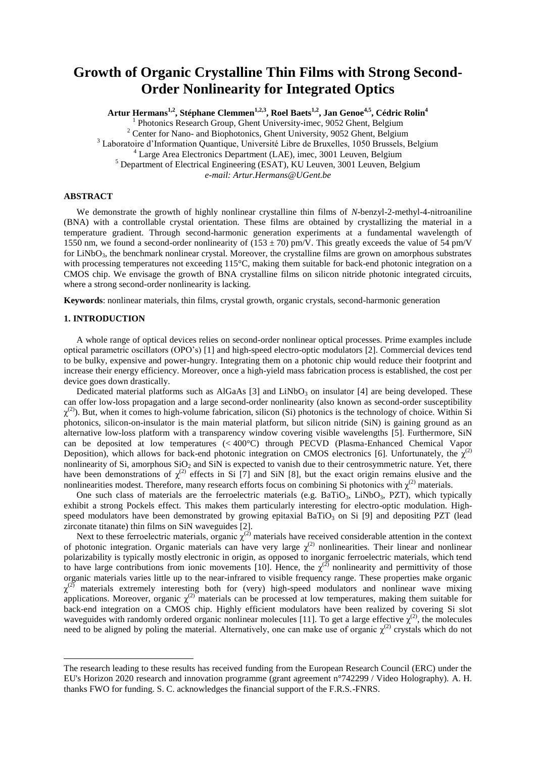# **Growth of Organic Crystalline Thin Films with Strong Second-Order Nonlinearity for Integrated Optics**

**Artur Hermans1,2 , Stéphane Clemmen1,2,3, Roel Baets1,2, Jan Genoe4,5 , Cédric Rolin<sup>4</sup>** <sup>1</sup> Photonics Research Group, Ghent University-imec, 9052 Ghent, Belgium <sup>2</sup> Center for Nano- and Biophotonics, Ghent University, 9052 Ghent, Belgium <sup>3</sup> Laboratoire d'Information Quantique, Université Libre de Bruxelles, 1050 Brussels, Belgium  $4$  Large Area Electronics Department (LAE), imec, 3001 Leuven, Belgium <sup>5</sup> Department of Electrical Engineering (ESAT), KU Leuven, 3001 Leuven, Belgium *e-mail: Artur.Hermans@UGent.be*

# **ABSTRACT**

We demonstrate the growth of highly nonlinear crystalline thin films of *N*-benzyl-2-methyl-4-nitroaniline (BNA) with a controllable crystal orientation. These films are obtained by crystallizing the material in a temperature gradient. Through second-harmonic generation experiments at a fundamental wavelength of 1550 nm, we found a second-order nonlinearity of  $(153 \pm 70)$  pm/V. This greatly exceeds the value of 54 pm/V for LiNbO<sub>3</sub>, the benchmark nonlinear crystal. Moreover, the crystalline films are grown on amorphous substrates with processing temperatures not exceeding 115°C, making them suitable for back-end photonic integration on a CMOS chip. We envisage the growth of BNA crystalline films on silicon nitride photonic integrated circuits, where a strong second-order nonlinearity is lacking.

**Keywords**: nonlinear materials, thin films, crystal growth, organic crystals, second-harmonic generation

## **1. INTRODUCTION**

 $\overline{a}$ 

A whole range of optical devices relies on second-order nonlinear optical processes. Prime examples include optical parametric oscillators (OPO's) [1] and high-speed electro-optic modulators [2]. Commercial devices tend to be bulky, expensive and power-hungry. Integrating them on a photonic chip would reduce their footprint and increase their energy efficiency. Moreover, once a high-yield mass fabrication process is established, the cost per device goes down drastically.

Dedicated material platforms such as AlGaAs [3] and LiNbO<sub>3</sub> on insulator [4] are being developed. These can offer low-loss propagation and a large second-order nonlinearity (also known as second-order susceptibility  $\chi^{(2)}$ ). But, when it comes to high-volume fabrication, silicon (Si) photonics is the technology of choice. Within Si photonics, silicon-on-insulator is the main material platform, but silicon nitride (SiN) is gaining ground as an alternative low-loss platform with a transparency window covering visible wavelengths [5]. Furthermore, SiN can be deposited at low temperatures (< 400°C) through PECVD (Plasma-Enhanced Chemical Vapor Deposition), which allows for back-end photonic integration on CMOS electronics [6]. Unfortunately, the  $\chi^{(2)}$ nonlinearity of Si, amorphous  $SiO<sub>2</sub>$  and SiN is expected to vanish due to their centrosymmetric nature. Yet, there have been demonstrations of  $\chi^{(2)}$  effects in Si [7] and SiN [8], but the exact origin remains elusive and the nonlinearities modest. Therefore, many research efforts focus on combining Si photonics with  $\chi^{(2)}$  materials.

One such class of materials are the ferroelectric materials (e.g.  $BaTiO<sub>3</sub>$ ,  $LiNbO<sub>3</sub>$ ,  $PZT$ ), which typically exhibit a strong Pockels effect. This makes them particularly interesting for electro-optic modulation. Highspeed modulators have been demonstrated by growing epitaxial BaTiO<sub>3</sub> on Si [9] and depositing PZT (lead zirconate titanate) thin films on SiN waveguides [2].

Next to these ferroelectric materials, organic  $\chi^{(2)}$  materials have received considerable attention in the context of photonic integration. Organic materials can have very large  $\chi^{(2)}$  nonlinearities. Their linear and nonlinear polarizability is typically mostly electronic in origin, as opposed to inorganic ferroelectric materials, which tend to have large contributions from ionic movements [10]. Hence, the  $\chi^{(2)}$  nonlinearity and permittivity of those organic materials varies little up to the near-infrared to visible frequency range. These properties make organic  $\chi^{(2)}$  materials extremely interesting both for (very) high-speed modulators and nonlinear wave mixing applications. Moreover, organic  $\chi^{(2)}$  materials can be processed at low temperatures, making them suitable for back-end integration on a CMOS chip. Highly efficient modulators have been realized by covering Si slot waveguides with randomly ordered organic nonlinear molecules [11]. To get a large effective  $\chi^{(2)}$ , the molecules need to be aligned by poling the material. Alternatively, one can make use of organic  $\chi^{(2)}$  crystals which do not

The research leading to these results has received funding from the European Research Council (ERC) under the EU's Horizon 2020 research and innovation programme (grant agreement n°742299 / Video Holography). A. H. thanks FWO for funding. S. C. acknowledges the financial support of the F.R.S.-FNRS.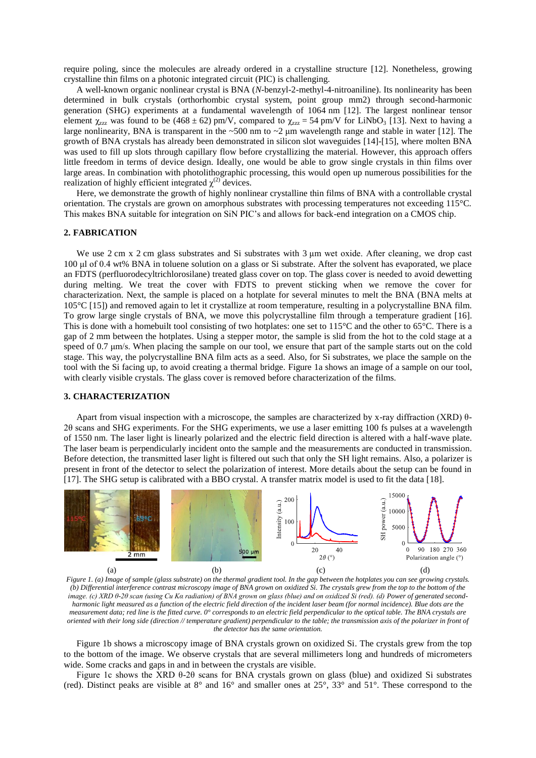require poling, since the molecules are already ordered in a crystalline structure [12]. Nonetheless, growing crystalline thin films on a photonic integrated circuit (PIC) is challenging.

A well-known organic nonlinear crystal is BNA (*N*-benzyl-2-methyl-4-nitroaniline). Its nonlinearity has been determined in bulk crystals (orthorhombic crystal system, point group mm2) through second-harmonic generation (SHG) experiments at a fundamental wavelength of 1064 nm [12]. The largest nonlinear tensor element  $\chi_{zzz}$  was found to be (468 ± 62) pm/V, compared to  $\chi_{zzz} = 54$  pm/V for LiNbO<sub>3</sub> [13]. Next to having a large nonlinearity, BNA is transparent in the  $\sim$ 500 nm to  $\sim$ 2  $\mu$ m wavelength range and stable in water [12]. The growth of BNA crystals has already been demonstrated in silicon slot waveguides [14]-[15], where molten BNA was used to fill up slots through capillary flow before crystallizing the material. However, this approach offers little freedom in terms of device design. Ideally, one would be able to grow single crystals in thin films over large areas. In combination with photolithographic processing, this would open up numerous possibilities for the realization of highly efficient integrated  $\chi^{(2)}$  devices.

Here, we demonstrate the growth of highly nonlinear crystalline thin films of BNA with a controllable crystal orientation. The crystals are grown on amorphous substrates with processing temperatures not exceeding 115°C. This makes BNA suitable for integration on SiN PIC's and allows for back-end integration on a CMOS chip.

## **2. FABRICATION**

We use 2 cm x 2 cm glass substrates and Si substrates with 3 μm wet oxide. After cleaning, we drop cast 100 μl of 0.4 wt% BNA in toluene solution on a glass or Si substrate. After the solvent has evaporated, we place an FDTS (perfluorodecyltrichlorosilane) treated glass cover on top. The glass cover is needed to avoid dewetting during melting. We treat the cover with FDTS to prevent sticking when we remove the cover for characterization. Next, the sample is placed on a hotplate for several minutes to melt the BNA (BNA melts at 105°C [15]) and removed again to let it crystallize at room temperature, resulting in a polycrystalline BNA film. To grow large single crystals of BNA, we move this polycrystalline film through a temperature gradient [16]. This is done with a homebuilt tool consisting of two hotplates: one set to 115°C and the other to 65°C. There is a gap of 2 mm between the hotplates. Using a stepper motor, the sample is slid from the hot to the cold stage at a speed of 0.7 μm/s. When placing the sample on our tool, we ensure that part of the sample starts out on the cold stage. This way, the polycrystalline BNA film acts as a seed. Also, for Si substrates, we place the sample on the tool with the Si facing up, to avoid creating a thermal bridge. Figure 1a shows an image of a sample on our tool, with clearly visible crystals. The glass cover is removed before characterization of the films.

## **3. CHARACTERIZATION**

Apart from visual inspection with a microscope, the samples are characterized by x-ray diffraction (XRD) θ-2θ scans and SHG experiments. For the SHG experiments, we use a laser emitting 100 fs pulses at a wavelength of 1550 nm. The laser light is linearly polarized and the electric field direction is altered with a half-wave plate. The laser beam is perpendicularly incident onto the sample and the measurements are conducted in transmission. Before detection, the transmitted laser light is filtered out such that only the SH light remains. Also, a polarizer is present in front of the detector to select the polarization of interest. More details about the setup can be found in [17]. The SHG setup is calibrated with a BBO crystal. A transfer matrix model is used to fit the data [18].



*Figure 1. (a) Image of sample (glass substrate) on the thermal gradient tool. In the gap between the hotplates you can see growing crystals. (b) Differential interference contrast microscopy image of BNA grown on oxidized Si. The crystals grew from the top to the bottom of the image. (c) XRD θ-2θ scan (using Cu Kα radiation) of BNA grown on glass (blue) and on oxidized Si (red). (d) Power of generated secondharmonic light measured as a function of the electric field direction of the incident laser beam (for normal incidence). Blue dots are the measurement data; red line is the fitted curve. 0° corresponds to an electric field perpendicular to the optical table. The BNA crystals are oriented with their long side (direction // temperature gradient) perpendicular to the table; the transmission axis of the polarizer in front of the detector has the same orientation.* 

Figure 1b shows a microscopy image of BNA crystals grown on oxidized Si. The crystals grew from the top to the bottom of the image. We observe crystals that are several millimeters long and hundreds of micrometers wide. Some cracks and gaps in and in between the crystals are visible.

Figure 1c shows the XRD θ-2θ scans for BNA crystals grown on glass (blue) and oxidized Si substrates (red). Distinct peaks are visible at 8° and 16° and smaller ones at 25°, 33° and 51°. These correspond to the